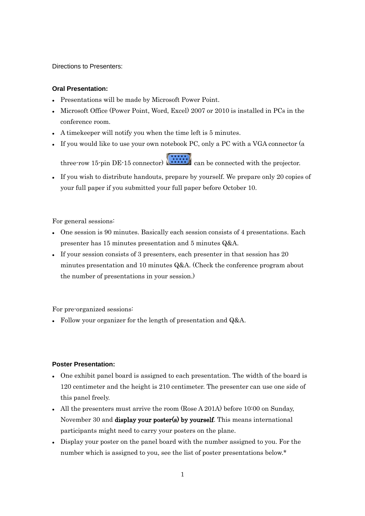Directions to Presenters:

## **Oral Presentation:**

- Presentations will be made by Microsoft Power Point.
- Microsoft Office (Power Point, Word, Excel) 2007 or 2010 is installed in PCs in the conference room.
- A timekeeper will notify you when the time left is 5 minutes.
- If you would like to use your own notebook PC, only a PC with a VGA connector (a

three-row 15-pin DE-15 connector)  $\begin{bmatrix} \cdots \cdots \cdots \end{bmatrix}$  can be connected with the projector.

 If you wish to distribute handouts, prepare by yourself. We prepare only 20 copies of your full paper if you submitted your full paper before October 10.

For general sessions:

- One session is 90 minutes. Basically each session consists of 4 presentations. Each presenter has 15 minutes presentation and 5 minutes Q&A.
- If your session consists of 3 presenters, each presenter in that session has 20 minutes presentation and 10 minutes Q&A. (Check the conference program about the number of presentations in your session.)

For pre-organized sessions:

• Follow your organizer for the length of presentation and Q&A.

## **Poster Presentation:**

- One exhibit panel board is assigned to each presentation. The width of the board is 120 centimeter and the height is 210 centimeter. The presenter can use one side of this panel freely.
- All the presenters must arrive the room (Rose A 201A) before 10:00 on Sunday, November 30 and display your poster(s) by yourself. This means international participants might need to carry your posters on the plane.
- Display your poster on the panel board with the number assigned to you. For the number which is assigned to you, see the list of poster presentations below.\*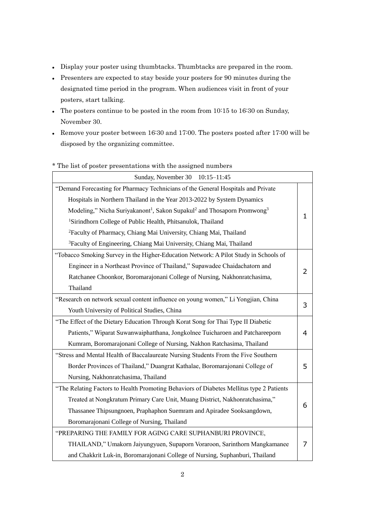- Display your poster using thumbtacks. Thumbtacks are prepared in the room.
- Presenters are expected to stay beside your posters for 90 minutes during the designated time period in the program. When audiences visit in front of your posters, start talking.
- The posters continue to be posted in the room from 10:15 to 16:30 on Sunday, November 30.
- Remove your poster between 16:30 and 17:00. The posters posted after 17:00 will be disposed by the organizing committee.

| Sunday, November 30 10:15-11:45                                                                             |   |
|-------------------------------------------------------------------------------------------------------------|---|
| "Demand Forecasting for Pharmacy Technicians of the General Hospitals and Private                           |   |
| Hospitals in Northern Thailand in the Year 2013-2022 by System Dynamics                                     | 1 |
| Modeling," Nicha Suriyakanont <sup>1</sup> , Sakon Supakul <sup>2</sup> and Thosaporn Promwong <sup>3</sup> |   |
| <sup>1</sup> Sirindhorn College of Public Health, Phitsanulok, Thailand                                     |   |
| <sup>2</sup> Faculty of Pharmacy, Chiang Mai University, Chiang Mai, Thailand                               |   |
| <sup>3</sup> Faculty of Engineering, Chiang Mai University, Chiang Mai, Thailand                            |   |
| "Tobacco Smoking Survey in the Higher-Education Network: A Pilot Study in Schools of                        |   |
| Engineer in a Northeast Province of Thailand," Supawadee Chaidachatorn and                                  | 2 |
| Ratchanee Choonkor, Boromarajonani College of Nursing, Nakhonratchasima,                                    |   |
| Thailand                                                                                                    |   |
| "Research on network sexual content influence on young women," Li Yongjian, China                           | 3 |
| Youth University of Political Studies, China                                                                |   |
| "The Effect of the Dietary Education Through Korat Song for Thai Type II Diabetic                           |   |
| Patients," Wiparat Suwanwaiphatthana, Jongkolnee Tuicharoen and Patchareeporn                               | 4 |
| Kumram, Boromarajonani College of Nursing, Nakhon Ratchasima, Thailand                                      |   |
| "Stress and Mental Health of Baccalaureate Nursing Students From the Five Southern                          |   |
| Border Provinces of Thailand," Duangrat Kathalae, Boromarajonani College of                                 | 5 |
| Nursing, Nakhonratchasima, Thailand                                                                         |   |
| "The Relating Factors to Health Promoting Behaviors of Diabetes Mellitus type 2 Patients                    |   |
| Treated at Nongkratum Primary Care Unit, Muang District, Nakhonratchasima,"                                 |   |
| Thassanee Thipsungnoen, Praphaphon Suemram and Apiradee Sooksangdown,                                       | 6 |
| Boromarajonani College of Nursing, Thailand                                                                 |   |
| "PREPARING THE FAMILY FOR AGING CARE SUPHANBURI PROVINCE,                                                   |   |
| THAILAND," Umakorn Jaiyungyuen, Supaporn Voraroon, Sarinthorn Mangkamanee                                   | 7 |
| and Chakkrit Luk-in, Boromarajonani College of Nursing, Suphanburi, Thailand                                |   |

## \* The list of poster presentations with the assigned numbers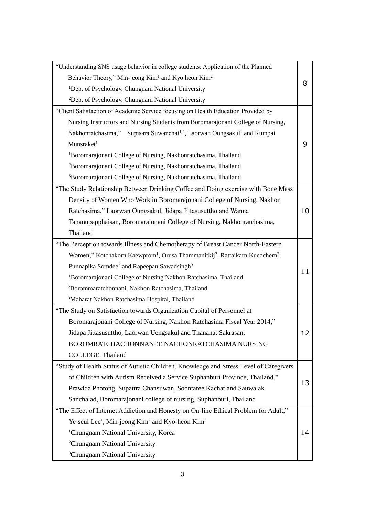| "Understanding SNS usage behavior in college students: Application of the Planned                                |    |
|------------------------------------------------------------------------------------------------------------------|----|
| Behavior Theory," Min-jeong Kim <sup>1</sup> and Kyo heon Kim <sup>2</sup>                                       |    |
| <sup>1</sup> Dep. of Psychology, Chungnam National University                                                    | 8  |
| <sup>2</sup> Dep. of Psychology, Chungnam National University                                                    |    |
| "Client Satisfaction of Academic Service focusing on Health Education Provided by                                |    |
| Nursing Instructors and Nursing Students from Boromarajonani College of Nursing,                                 |    |
| Nakhonratchasima," Supisara Suwanchat <sup>1,2</sup> , Laorwan Oungsakul <sup>1</sup> and Rumpai                 |    |
| Munsraket <sup>1</sup>                                                                                           | 9  |
| <sup>1</sup> Boromarajonani College of Nursing, Nakhonratchasima, Thailand                                       |    |
| <sup>2</sup> Boromarajonani College of Nursing, Nakhonratchasima, Thailand                                       |    |
| <sup>3</sup> Boromarajonani College of Nursing, Nakhonratchasima, Thailand                                       |    |
| "The Study Relationship Between Drinking Coffee and Doing exercise with Bone Mass                                |    |
| Density of Women Who Work in Boromarajonani College of Nursing, Nakhon                                           |    |
| Ratchasima," Laorwan Oungsakul, Jidapa Jittasusuttho and Wanna                                                   | 10 |
| Tananupapphaisan, Boromarajonani College of Nursing, Nakhonratchasima,                                           |    |
| Thailand                                                                                                         |    |
| "The Perception towards Illness and Chemotherapy of Breast Cancer North-Eastern                                  |    |
| Women," Kotchakorn Kaewprom <sup>1</sup> , Orusa Thammanitkij <sup>2</sup> , Rattaikarn Kuedchern <sup>2</sup> , |    |
| Punnapika Somdee <sup>3</sup> and Rapeepan Sawadsingh <sup>3</sup>                                               |    |
| <sup>1</sup> Boromarajonani College of Nursing Nakhon Ratchasima, Thailand                                       | 11 |
| <sup>2</sup> Borommaratchonnani, Nakhon Ratchasima, Thailand                                                     |    |
| <sup>3</sup> Maharat Nakhon Ratchasima Hospital, Thailand                                                        |    |
| "The Study on Satisfaction towards Organization Capital of Personnel at                                          |    |
| Boromarajonani College of Nursing, Nakhon Ratchasima Fiscal Year 2014,"                                          |    |
| Jidapa Jittasusuttho, Laorwan Uengsakul and Thananat Sakrasan,                                                   | 12 |
| BOROMRATCHACHONNANEE NACHONRATCHASIMA NURSING                                                                    |    |
| COLLEGE, Thailand                                                                                                |    |
| "Study of Health Status of Autistic Children, Knowledge and Stress Level of Caregivers                           |    |
| of Children with Autism Received a Service Suphanburi Province, Thailand,"                                       | 13 |
| Prawida Photong, Supattra Chansuwan, Soontaree Kachat and Sauwalak                                               |    |
| Sanchalad, Boromarajonani college of nursing, Suphanburi, Thailand                                               |    |
| "The Effect of Internet Addiction and Honesty on On-line Ethical Problem for Adult,"                             |    |
| Ye-seul Lee <sup>1</sup> , Min-jeong Kim <sup>2</sup> and Kyo-heon Kim <sup>3</sup>                              |    |
| <sup>1</sup> Chungnam National University, Korea                                                                 | 14 |
| <sup>2</sup> Chungnam National University                                                                        |    |
| <sup>3</sup> Chungnam National University                                                                        |    |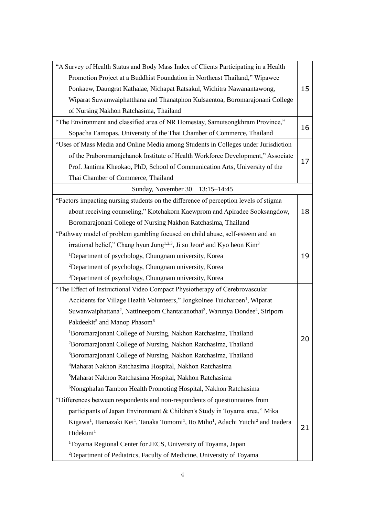| "A Survey of Health Status and Body Mass Index of Clients Participating in a Health                                                           |    |
|-----------------------------------------------------------------------------------------------------------------------------------------------|----|
| Promotion Project at a Buddhist Foundation in Northeast Thailand," Wipawee                                                                    |    |
| Ponkaew, Daungrat Kathalae, Nichapat Ratsakul, Wichitra Nawanantawong,                                                                        | 15 |
| Wiparat Suwanwaiphatthana and Thanatphon Kulsaentoa, Boromarajonani College                                                                   |    |
| of Nursing Nakhon Ratchasima, Thailand                                                                                                        |    |
| "The Environment and classified area of NR Homestay, Samutsongkhram Province,"                                                                | 16 |
| Sopacha Eamopas, University of the Thai Chamber of Commerce, Thailand                                                                         |    |
| "Uses of Mass Media and Online Media among Students in Colleges under Jurisdiction                                                            |    |
| of the Praboromarajchanok Institute of Health Workforce Development," Associate                                                               |    |
| Prof. Jantima Kheokao, PhD, School of Communication Arts, University of the                                                                   | 17 |
| Thai Chamber of Commerce, Thailand                                                                                                            |    |
| Sunday, November 30<br>$13:15 - 14:45$                                                                                                        |    |
| "Factors impacting nursing students on the difference of perception levels of stigma                                                          |    |
| about receiving counseling," Kotchakorn Kaewprom and Apiradee Sooksangdow,                                                                    | 18 |
| Boromarajonani College of Nursing Nakhon Ratchasima, Thailand                                                                                 |    |
| "Pathway model of problem gambling focused on child abuse, self-esteem and an                                                                 |    |
| irrational belief," Chang hyun Jung <sup>1,2,3</sup> , Ji su Jeon <sup>2</sup> and Kyo heon Kim <sup>3</sup>                                  |    |
| <sup>1</sup> Department of psychology, Chungnam university, Korea                                                                             | 19 |
| <sup>2</sup> Department of psychology, Chungnam university, Korea                                                                             |    |
| <sup>3</sup> Department of psychology, Chungnam university, Korea                                                                             |    |
| "The Effect of Instructional Video Compact Physiotherapy of Cerebrovascular                                                                   |    |
| Accidents for Village Health Volunteers," Jongkolnee Tuicharoen <sup>1</sup> , Wiparat                                                        |    |
| Suwanwaiphattana <sup>2</sup> , Nattineeporn Chantaranothai <sup>3</sup> , Warunya Dondee <sup>4</sup> , Siriporn                             |    |
| Pakdeekit <sup>5</sup> and Manop Phasom <sup>6</sup>                                                                                          |    |
| <sup>1</sup> Boromarajonani College of Nursing, Nakhon Ratchasima, Thailand                                                                   |    |
| <sup>2</sup> Boromarajonani College of Nursing, Nakhon Ratchasima, Thailand                                                                   | 20 |
| <sup>3</sup> Boromarajonani College of Nursing, Nakhon Ratchasima, Thailand                                                                   |    |
| <sup>4</sup> Maharat Nakhon Ratchasima Hospital, Nakhon Ratchasima                                                                            |    |
| <sup>5</sup> Maharat Nakhon Ratchasima Hospital, Nakhon Ratchasima                                                                            |    |
| <sup>6</sup> Nongphalan Tambon Health Promoting Hospital, Nakhon Ratchasima                                                                   |    |
| "Differences between respondents and non-respondents of questionnaires from                                                                   |    |
| participants of Japan Environment & Children's Study in Toyama area," Mika                                                                    |    |
| Kigawa <sup>1</sup> , Hamazaki Kei <sup>1</sup> , Tanaka Tomomi <sup>1</sup> , Ito Miho <sup>1</sup> , Adachi Yuichi <sup>2</sup> and Inadera |    |
| Hidekuni <sup>1</sup>                                                                                                                         | 21 |
| <sup>1</sup> Toyama Regional Center for JECS, University of Toyama, Japan                                                                     |    |
| <sup>2</sup> Department of Pediatrics, Faculty of Medicine, University of Toyama                                                              |    |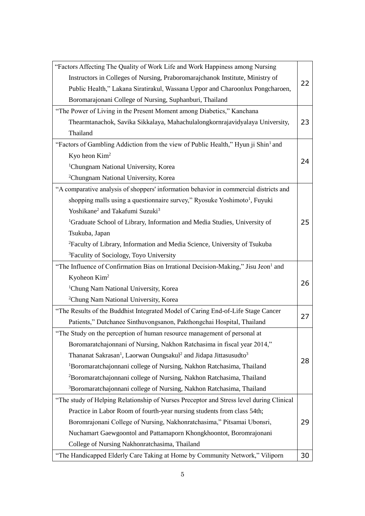| "Factors Affecting The Quality of Work Life and Work Happiness among Nursing                         |    |
|------------------------------------------------------------------------------------------------------|----|
| Instructors in Colleges of Nursing, Praboromarajchanok Institute, Ministry of                        | 22 |
| Public Health," Lakana Siratirakul, Wassana Uppor and Charoonlux Pongcharoen,                        |    |
| Boromarajonani College of Nursing, Suphanburi, Thailand                                              |    |
| "The Power of Living in the Present Moment among Diabetics," Kanchana                                |    |
| Thearmtanachok, Savika Sikkalaya, Mahachulalongkornrajavidyalaya University,                         | 23 |
| Thailand                                                                                             |    |
| "Factors of Gambling Addiction from the view of Public Health," Hyun ji Shin <sup>1</sup> and        |    |
| Kyo heon $Kim2$                                                                                      |    |
| <sup>1</sup> Chungnam National University, Korea                                                     | 24 |
| <sup>2</sup> Chungnam National University, Korea                                                     |    |
| "A comparative analysis of shoppers' information behavior in commercial districts and                |    |
| shopping malls using a questionnaire survey," Ryosuke Yoshimoto <sup>1</sup> , Fuyuki                |    |
| Yoshikane <sup>2</sup> and Takafumi Suzuki <sup>3</sup>                                              |    |
| <sup>1</sup> Graduate School of Library, Information and Media Studies, University of                | 25 |
| Tsukuba, Japan                                                                                       |    |
| <sup>2</sup> Faculty of Library, Information and Media Science, University of Tsukuba                |    |
| <sup>3</sup> Faculity of Sociology, Toyo University                                                  |    |
| "The Influence of Confirmation Bias on Irrational Decision-Making," Jisu Jeon <sup>1</sup> and       |    |
| Kyoheon $Kim2$                                                                                       | 26 |
| <sup>1</sup> Chung Nam National University, Korea                                                    |    |
| <sup>2</sup> Chung Nam National University, Korea                                                    |    |
| "The Results of the Buddhist Integrated Model of Caring End-of-Life Stage Cancer                     |    |
| Patients," Dutchanee Sinthuvongsanon, Pakthongchai Hospital, Thailand                                | 27 |
| "The Study on the perception of human resource management of personal at                             |    |
| Boromaratchajonnani of Nursing, Nakhon Ratchasima in fiscal year 2014,"                              |    |
| Thananat Sakrasan <sup>1</sup> , Laorwan Oungsakul <sup>2</sup> and Jidapa Jittasusudto <sup>3</sup> |    |
| <sup>1</sup> Boromaratchajonnani college of Nursing, Nakhon Ratchasima, Thailand                     | 28 |
| <sup>2</sup> Boromaratchajonnani college of Nursing, Nakhon Ratchasima, Thailand                     |    |
| <sup>3</sup> Boromaratchajonnani college of Nursing, Nakhon Ratchasima, Thailand                     |    |
| "The study of Helping Relationship of Nurses Preceptor and Stress level during Clinical              |    |
| Practice in Labor Room of fourth-year nursing students from class 54th;                              |    |
| Boromrajonani College of Nursing, Nakhonratchasima," Pitsamai Ubonsri,                               | 29 |
| Nuchamart Gaewgoontol and Pattamaporn Khongkhoontot, Boromrajonani                                   |    |
| College of Nursing Nakhonratchasima, Thailand                                                        |    |
| "The Handicapped Elderly Care Taking at Home by Community Network," Viliporn                         | 30 |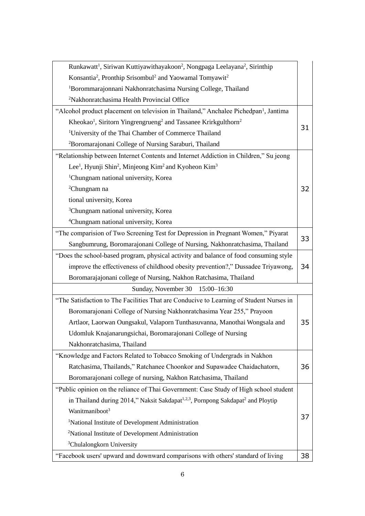| Runkawatt <sup>1</sup> , Siriwan Kuttiyawithayakoon <sup>2</sup> , Nongpaga Leelayana <sup>2</sup> , Sirinthip |    |
|----------------------------------------------------------------------------------------------------------------|----|
| Konsantia <sup>2</sup> , Pronthip Srisombul <sup>2</sup> and Yaowamal Tomyawit <sup>2</sup>                    |    |
| <sup>1</sup> Borommarajonnani Nakhonratchasima Nursing College, Thailand                                       |    |
| <sup>2</sup> Nakhonratchasima Health Provincial Office                                                         |    |
| "Alcohol product placement on television in Thailand," Anchalee Pichedpan <sup>1</sup> , Jantima               |    |
| Kheokao <sup>1</sup> , Siritorn Yingrengrueng <sup>2</sup> and Tassanee Krirkgulthorn <sup>2</sup>             |    |
| <sup>1</sup> University of the Thai Chamber of Commerce Thailand                                               | 31 |
| <sup>2</sup> Boromarajonani College of Nursing Saraburi, Thailand                                              |    |
| "Relationship between Internet Contents and Internet Addiction in Children," Su jeong                          |    |
| Lee <sup>1</sup> , Hyunji Shin <sup>2</sup> , Minjeong Kim <sup>2</sup> and Kyoheon Kim <sup>3</sup>           |    |
| <sup>1</sup> Chungnam national university, Korea                                                               |    |
| <sup>2</sup> Chungnam na                                                                                       | 32 |
| tional university, Korea                                                                                       |    |
| <sup>3</sup> Chungnam national university, Korea                                                               |    |
| <sup>4</sup> Chungnam national university, Korea                                                               |    |
| "The comparision of Two Screening Test for Depression in Pregnant Women," Piyarat                              | 33 |
| Sangbumrung, Boromarajonani College of Nursing, Nakhonratchasima, Thailand                                     |    |
| "Does the school-based program, physical activity and balance of food consuming style                          |    |
| improve the effectiveness of childhood obesity prevention?," Dussadee Triyawong,                               | 34 |
| Boromarajajonani college of Nursing, Nakhon Ratchasima, Thailand                                               |    |
| Sunday, November 30<br>$15:00 - 16:30$                                                                         |    |
| "The Satisfaction to The Facilities That are Conducive to Learning of Student Nurses in                        |    |
| Boromarajonani College of Nursing Nakhonratchasima Year 255," Prayoon                                          |    |
| Artlaor, Laorwan Oungsakul, Valaporn Tunthasuvanna, Manothai Wongsala and                                      | 35 |
| Udomluk Knajanarungsichai, Boromarajonani College of Nursing                                                   |    |
| Nakhonratchasima, Thailand                                                                                     |    |
| "Knowledge and Factors Related to Tobacco Smoking of Undergrads in Nakhon                                      |    |
| Ratchasima, Thailands," Ratchanee Choonkor and Supawadee Chaidachatorn,                                        | 36 |
| Boromarajonani college of nursing, Nakhon Ratchasima, Thailand                                                 |    |
| "Public opinion on the reliance of Thai Government: Case Study of High school student                          |    |
| in Thailand during 2014," Naksit Sakdapat <sup>1,2,3</sup> , Pornpong Sakdapat <sup>2</sup> and Ploytip        |    |
| Wanitmaniboot <sup>3</sup>                                                                                     | 37 |
| <sup>1</sup> National Institute of Development Administration                                                  |    |
| <sup>2</sup> National Institute of Development Administration                                                  |    |
| <sup>3</sup> Chulalongkorn University                                                                          |    |
| "Facebook users' upward and downward comparisons with others' standard of living                               | 38 |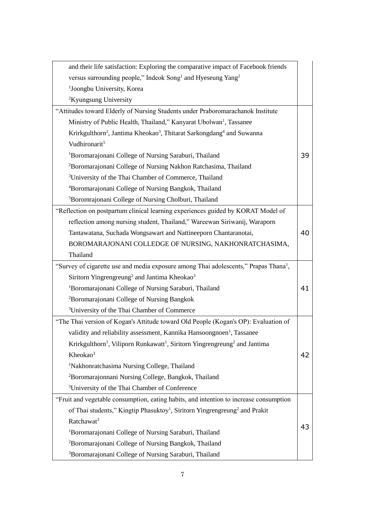| and their life satisfaction: Exploring the comparative impact of Facebook friends                              |    |
|----------------------------------------------------------------------------------------------------------------|----|
| versus surrounding people," Indeok Song <sup>1</sup> and Hyeseung Yang <sup>2</sup>                            |    |
| <sup>1</sup> Joongbu University, Korea                                                                         |    |
| <sup>2</sup> Kyungsung University                                                                              |    |
| "Attitudes toward Elderly of Nursing Students under Praboromarachanok Institute                                |    |
| Ministry of Public Health, Thailand," Kanyarat Ubolwan <sup>1</sup> , Tassanee                                 |    |
| Krirkgulthorn <sup>2</sup> , Jantima Kheokao <sup>3</sup> , Thitarat Sarkongdang <sup>4</sup> and Suwanna      |    |
| Vudhironarit <sup>5</sup>                                                                                      |    |
| <sup>1</sup> Boromarajonani College of Nursing Saraburi, Thailand                                              | 39 |
| <sup>2</sup> Boromarajonani College of Nursing Nakhon Ratchasima, Thailand                                     |    |
| <sup>3</sup> University of the Thai Chamber of Commerce, Thailand                                              |    |
| <sup>4</sup> Boromarajonani College of Nursing Bangkok, Thailand                                               |    |
| <sup>5</sup> Boromrajonani College of Nursing Cholburi, Thailand                                               |    |
| "Reflection on postpartum clinical learning experiences guided by KORAT Model of                               |    |
| reflection among nursing student, Thailand," Wareewan Siriwanij, Waraporn                                      |    |
| Tantawatana, Suchada Wongsawart and Nattineeporn Chantaranotai,                                                | 40 |
| BOROMARAJONANI COLLEDGE OF NURSING, NAKHONRATCHASIMA,                                                          |    |
| Thailand                                                                                                       |    |
| "Survey of cigarette use and media exposure among Thai adolescents," Prapas Thana <sup>1</sup> ,               |    |
|                                                                                                                |    |
| Siritorn Yingrengreung <sup>2</sup> and Jantima Kheokao <sup>3</sup>                                           |    |
| <sup>1</sup> Boromarajonani College of Nursing Saraburi, Thailand                                              | 41 |
| <sup>2</sup> Boromarajonani College of Nursing Bangkok                                                         |    |
| <sup>3</sup> University of the Thai Chamber of Commerce                                                        |    |
| "The Thai version of Kogan's Attitude toward Old People (Kogan's OP): Evaluation of                            |    |
| validity and reliability assessment, Kannika Hansoongnoen <sup>1</sup> , Tassanee                              |    |
| Krirkgulthorn <sup>1</sup> , Viliporn Runkawatt <sup>1</sup> , Siritorn Yingrengreung <sup>2</sup> and Jantima |    |
| Kheokao <sup>3</sup>                                                                                           | 42 |
| <sup>1</sup> Nakhonratchasima Nursing College, Thailand                                                        |    |
| <sup>2</sup> Boromarajonnani Nursing College, Bangkok, Thailand                                                |    |
| <sup>3</sup> University of the Thai Chamber of Conference                                                      |    |
| "Fruit and vegetable consumption, eating habits, and intention to increase consumption                         |    |
| of Thai students," Kingtip Phasuktoy <sup>1</sup> , Siritorn Yingrengreung <sup>2</sup> and Prakit             |    |
| Ratchawat <sup>3</sup>                                                                                         |    |
| <sup>1</sup> Boromarajonani College of Nursing Saraburi, Thailand                                              | 43 |
| <sup>2</sup> Boromarajonani College of Nursing Bangkok, Thailand                                               |    |